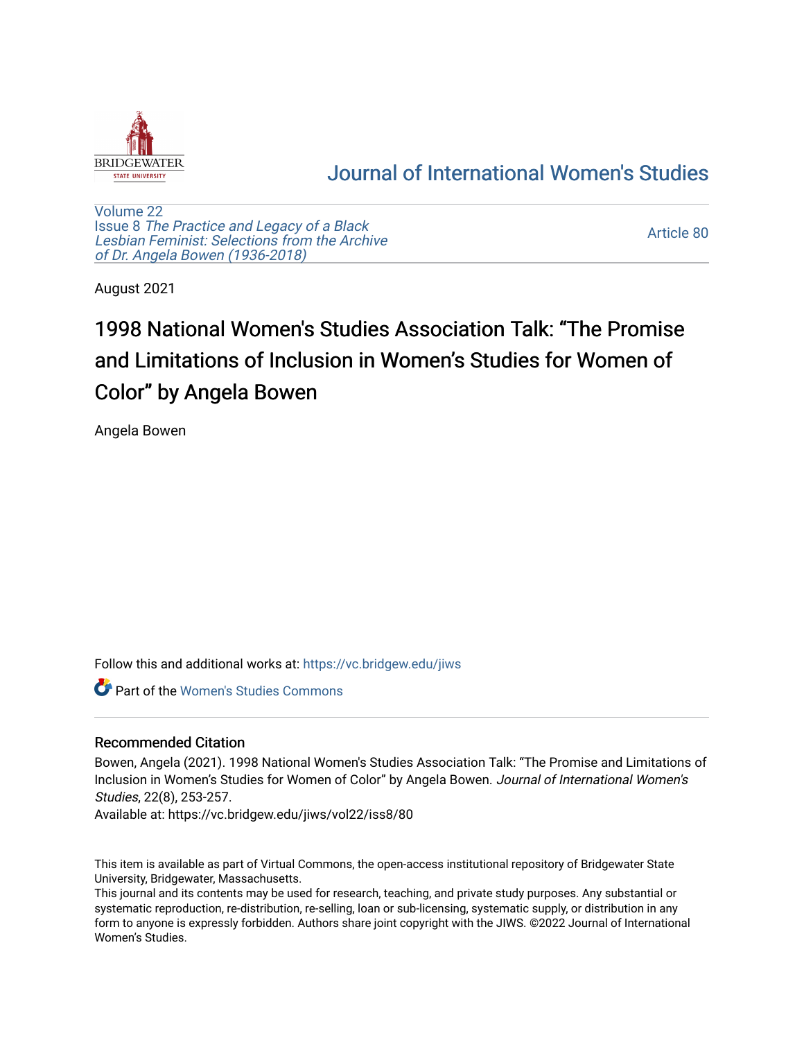

## [Journal of International Women's Studies](https://vc.bridgew.edu/jiws)

[Volume 22](https://vc.bridgew.edu/jiws/vol22) Issue 8 [The Practice and Legacy of a Black](https://vc.bridgew.edu/jiws/vol22/iss8)  [Lesbian Feminist: Selections from the Archive](https://vc.bridgew.edu/jiws/vol22/iss8)  [of Dr. Angela Bowen \(1936-2018\)](https://vc.bridgew.edu/jiws/vol22/iss8)

[Article 80](https://vc.bridgew.edu/jiws/vol22/iss8/80) 

August 2021

# 1998 National Women's Studies Association Talk: "The Promise and Limitations of Inclusion in Women's Studies for Women of Color" by Angela Bowen

Angela Bowen

Follow this and additional works at: [https://vc.bridgew.edu/jiws](https://vc.bridgew.edu/jiws?utm_source=vc.bridgew.edu%2Fjiws%2Fvol22%2Fiss8%2F80&utm_medium=PDF&utm_campaign=PDFCoverPages)

**C** Part of the Women's Studies Commons

#### Recommended Citation

Bowen, Angela (2021). 1998 National Women's Studies Association Talk: "The Promise and Limitations of Inclusion in Women's Studies for Women of Color" by Angela Bowen. Journal of International Women's Studies, 22(8), 253-257.

Available at: https://vc.bridgew.edu/jiws/vol22/iss8/80

This item is available as part of Virtual Commons, the open-access institutional repository of Bridgewater State University, Bridgewater, Massachusetts.

This journal and its contents may be used for research, teaching, and private study purposes. Any substantial or systematic reproduction, re-distribution, re-selling, loan or sub-licensing, systematic supply, or distribution in any form to anyone is expressly forbidden. Authors share joint copyright with the JIWS. ©2022 Journal of International Women's Studies.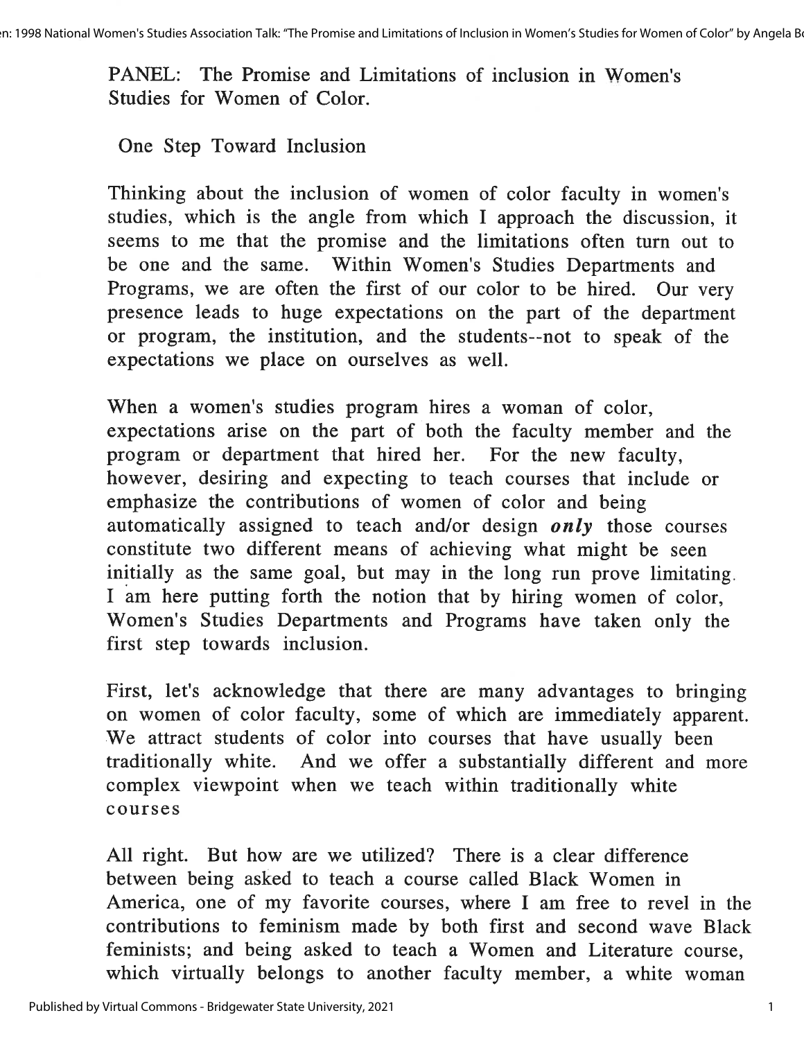PANEL: The Promise and Limitations of inclusion in Women's Studies for Women of Color.

One Step Toward Inclusion

Thinking about the inclusion of women of color faculty in women's studies, which is the angle from which I approach the discussion, it seems to me that the promise and the limitations often turn out to be one and the same. Within Women's Studies Departments and Programs, we are often the first of our color to be hired. Our very presence leads to huge expectations on the part of the department or program, the institution, and the students--not to speak of the expectations we place on ourselves as well.

When a women's studies program hires a woman of color, expectations arise on the part of both the faculty member and the program or department that hired her. For the new faculty, however, desiring and expecting to teach courses that include or emphasize the contributions of women of color and being automatically assigned to teach and/or design *only* those courses constitute two different means of achieving what might be seen initially as the same goal, but may in the long run prove limitating. I am here putting forth the notion that by hiring women of color, Women's Studies Departments and Programs have taken only the first step towards inclusion.

First, let's acknowledge that there are many advantages to bringing on women of color faculty, some of which are immediately apparent. We attract students of color into courses that have usually been traditionally white. And we offer a substantially different and more complex viewpoint when we teach within traditionally white courses

All right. But how are we utilized? There is a clear difference between being asked to teach a course called Black Women in America, one of my favorite courses, where I am free to revel in the contributions to feminism made by both first and second wave Black feminists; and being asked to teach a Women and Literature course, which virtually belongs to another faculty member, a white woman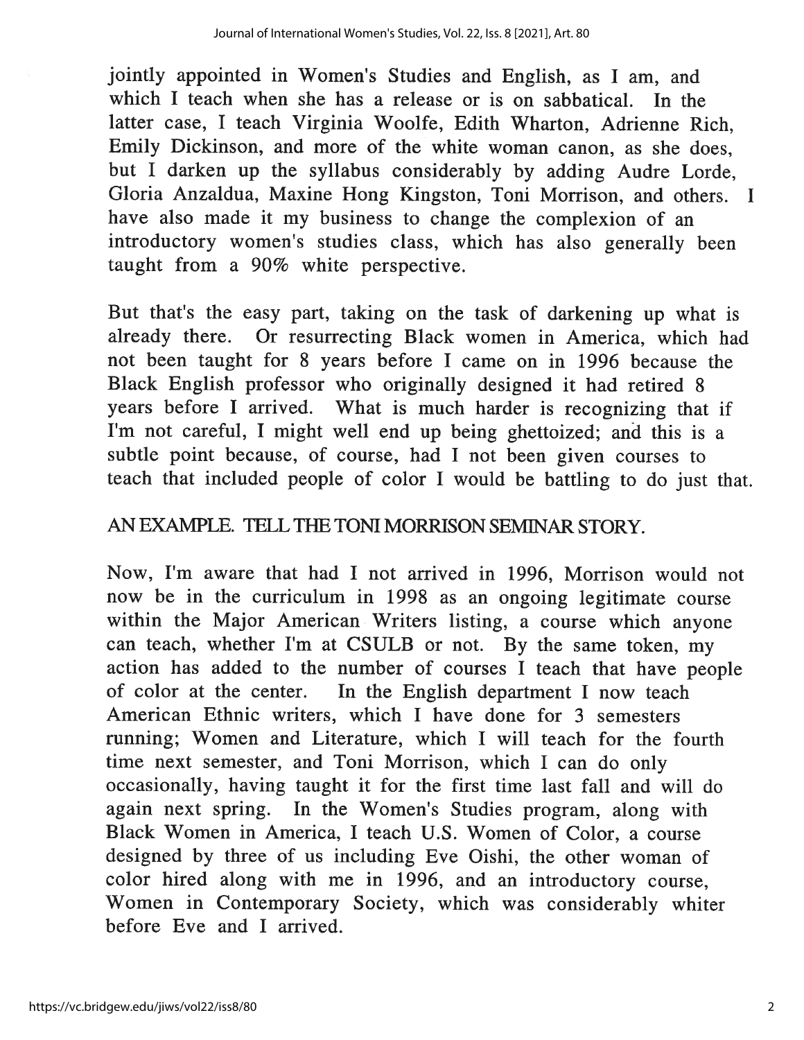jointly appointed in Women's Studies and English, as I am, and which I teach when she has a release or is on sabbatical. In the latter case, I teach Virginia Woolfe, Edith Wharton, Adrienne Rich, Emily Dickinson, and more of the white woman canon, as she does. but I darken up the syllabus considerably by adding Audre Lorde, Gloria Anzaldua, Maxine Hong Kingston, Toni Morrison, and others. I have also made it my business to change the complexion of an introductory women's studies class, which has also generally been taught from a 90% white perspective.

But that's the easy part, taking on the task of darkening up what is already there. Or resurrecting Black women in America, which had not been taught for 8 years before I came on in 1996 because the Black English professor who originally designed it had retired 8 years before I arrived. What is much harder is recognizing that if I'm not careful, I might well end up being ghettoized; and this is a subtle point because, of course, had I not been given courses to teach that included people of color I would be battling to do just that.

#### AN EXAMPLE. TELL THE TONI MORRISON SEMINAR STORY.

Now, I'm aware that had I not arrived in 1996, Morrison would not now be in the curriculum in 1998 as an ongoing legitimate course within the Major American Writers listing, a course which anyone can teach, whether I'm at CSULB or not. By the same token, my action has added to the number of courses I teach that have people of color at the center. In the English department I now teach American Ethnic writers, which I have done for 3 semesters running; Women and Literature, which I will teach for the fourth time next semester, and Toni Morrison, which I can do only occasionally, having taught it for the first time last fall and will do again next spring. In the Women's Studies program, along with Black Women in America, I teach U.S. Women of Color, a course designed by three of us including Eve Oishi, the other woman of color hired along with me in 1996, and an introductory course, Women in Contemporary Society, which was considerably whiter before Eve and I arrived.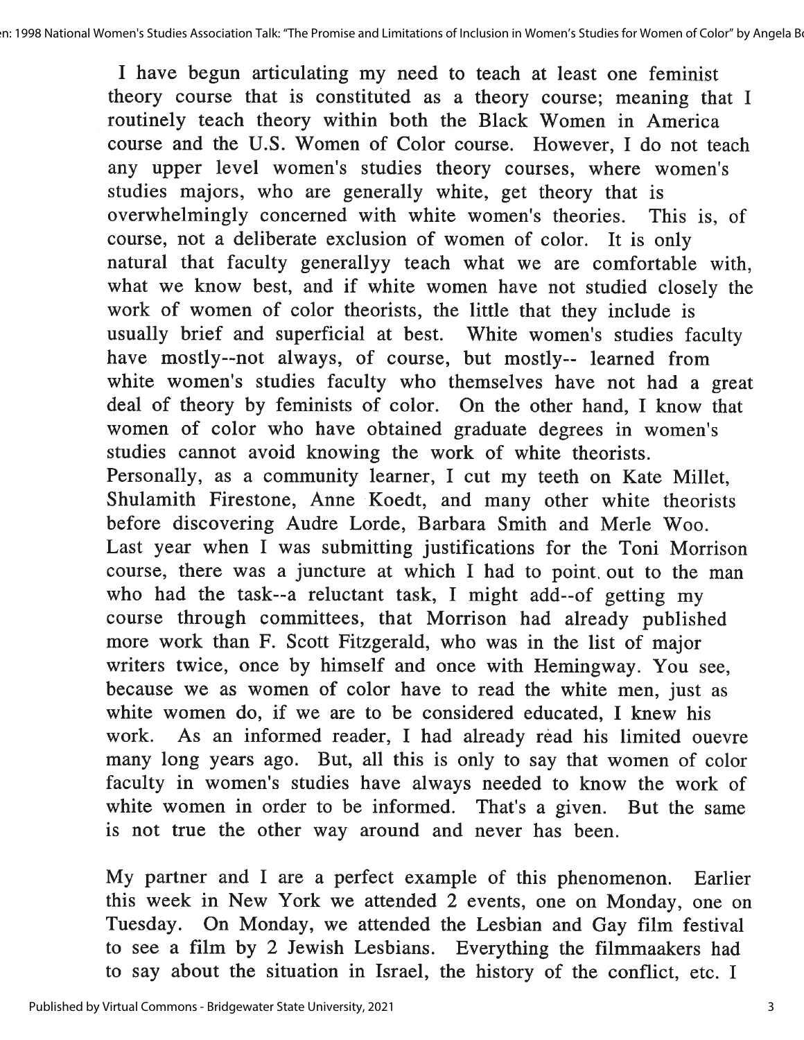I have begun articulating my need to teach at least one feminist theory course that is constituted as a theory course; meaning that I routinely teach theory within both the Black Women in America course and the U.S. Women of Color course. However, I do not teach any upper level women's studies theory courses, where women's studies majors, who are generally white, get theory that is overwhelmingly concerned with white women's theories. This is, of course, not a deliberate exclusion of women of color. It is only natural that faculty generallyy teach what we are comfortable with, what we know best, and if white women have not studied closely the work of women of color theorists, the little that they include is usually brief and superficial at best. White women's studies faculty have mostly--not always, of course, but mostly-- learned from white women's studies faculty who themselves have not had a great deal of theory by feminists of color. On the other hand, I know that women of color who have obtained graduate degrees in women's studies cannot avoid knowing the work of white theorists. Personally, as a community learner, I cut my teeth on Kate Millet, Shulamith Firestone, Anne Koedt, and many other white theorists before discovering Audre Lorde, Barbara Smith and Merle Woo. Last year when I was submitting justifications for the Toni Morrison course, there was a juncture at which I had to point out to the man who had the task--a reluctant task, I might add--of getting my course through committees, that Morrison had already published more work than F. Scott Fitzgerald, who was in the list of major writers twice, once by himself and once with Hemingway. You see, because we as women of color have to read the white men, just as white women do, if we are to be considered educated, I knew his work. As an informed reader, I had already read his limited ouevre many long years ago. But, all this is only to say that women of color faculty in women's studies have always needed to know the work of white women in order to be informed. That's a given. But the same is not true the other way around and never has been.

My partner and I are a perfect example of this phenomenon. Earlier this week in New York we attended 2 events, one on Monday, one on Tuesday. On Monday, we attended the Lesbian and Gay film festival to see a film by 2 Jewish Lesbians. Everything the filmmaakers had to say about the situation in Israel, the history of the conflict, etc. I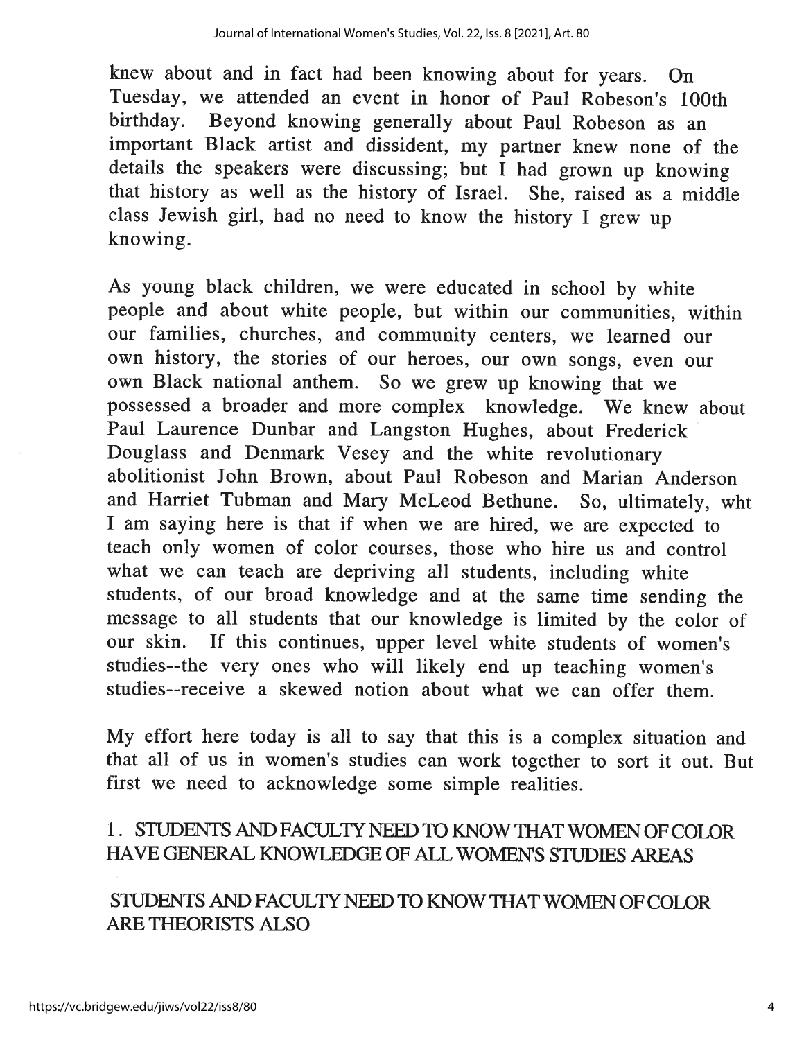knew about and in fact had been knowing about for years. On Tuesday, we attended an event in honor of Paul Robeson's 100th birthday. Beyond knowing generally about Paul Robeson as an important Black artist and dissident, my partner knew none of the details the speakers were discussing; but I had grown up knowing that history as well as the history of Israel. She, raised as a middle class Jewish girl, had no need to know the history I grew up knowing.

As young black children, we were educated in school by white people and about white people, but within our communities, within our families, churches, and community centers, we learned our own history, the stories of our heroes, our own songs, even our own Black national anthem. So we grew up knowing that we possessed a broader and more complex knowledge. We knew about Paul Laurence Dunbar and Langston Hughes, about Frederick Douglass and Denmark Vesey and the white revolutionary abolitionist John Brown, about Paul Robeson and Marian Anderson and Harriet Tubman and Mary McLeod Bethune. So, ultimately, wht I am saying here is that if when we are hired, we are expected to teach only women of color courses, those who hire us and control what we can teach are depriving all students, including white students, of our broad knowledge and at the same time sending the message to all students that our knowledge is limited by the color of our skin. If this continues, upper level white students of women's studies--the very ones who will likely end up teaching women's studies--receive a skewed notion about what we can offer them.

My effort here today is all to say that this is a complex situation and that all of us in women's studies can work together to sort it out. But first we need to acknowledge some simple realities.

#### 1. STUDENTS AND FACULTY NEED TO KNOW THAT WOMEN OF COLOR HAVE GENERAL KNOWLEDGE OF ALL WOMEN'S STUDIES AREAS

STUDENTS AND FACULTY NEED TO KNOW THAT WOMEN OF COLOR **ARE THEORISTS ALSO**